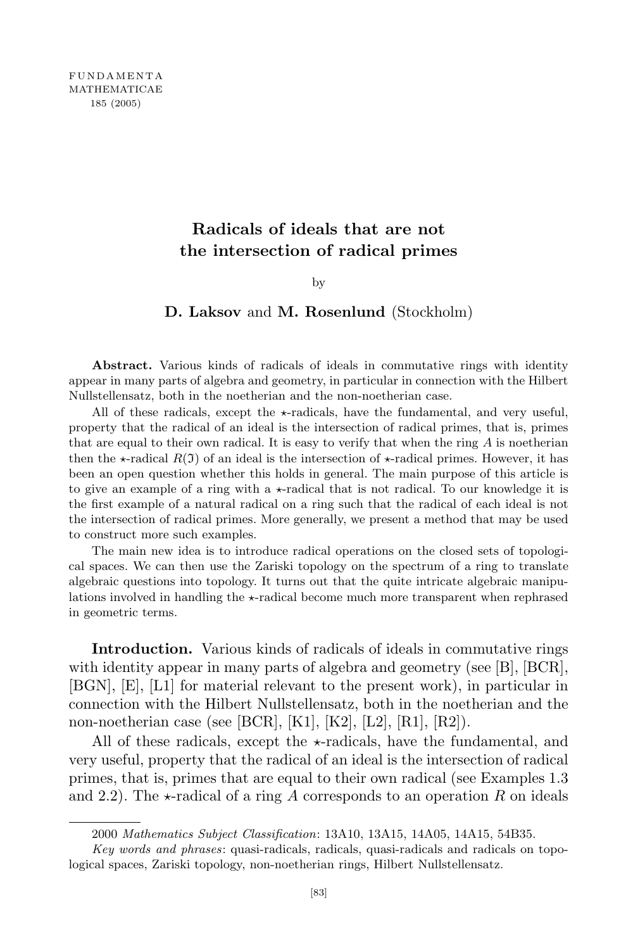## **Radicals of ideals that are not the intersection of radical primes**

by

## **D. Laksov** and **M. Rosenlund** (Stockholm)

**Abstract.** Various kinds of radicals of ideals in commutative rings with identity appear in many parts of algebra and geometry, in particular in connection with the Hilbert Nullstellensatz, both in the noetherian and the non-noetherian case.

All of these radicals, except the  $\star$ -radicals, have the fundamental, and very useful, property that the radical of an ideal is the intersection of radical primes, that is, primes that are equal to their own radical. It is easy to verify that when the ring *A* is noetherian then the  $\star$ -radical *R*(I) of an ideal is the intersection of  $\star$ -radical primes. However, it has been an open question whether this holds in general. The main purpose of this article is to give an example of a ring with a  $\star$ -radical that is not radical. To our knowledge it is the first example of a natural radical on a ring such that the radical of each ideal is not the intersection of radical primes. More generally, we present a method that may be used to construct more such examples.

The main new idea is to introduce radical operations on the closed sets of topological spaces. We can then use the Zariski topology on the spectrum of a ring to translate algebraic questions into topology. It turns out that the quite intricate algebraic manipulations involved in handling the  $\star$ -radical become much more transparent when rephrased in geometric terms.

**Introduction.** Various kinds of radicals of ideals in commutative rings with identity appear in many parts of algebra and geometry (see [B], [BCR], [BGN], [E], [L1] for material relevant to the present work), in particular in connection with the Hilbert Nullstellensatz, both in the noetherian and the non-noetherian case (see [BCR], [K1], [K2], [L2], [R1], [R2]).

All of these radicals, except the  $\star$ -radicals, have the fundamental, and very useful, property that the radical of an ideal is the intersection of radical primes, that is, primes that are equal to their own radical (see Examples 1.3 and 2.2). The  $\star$ -radical of a ring A corresponds to an operation R on ideals

<sup>2000</sup> *Mathematics Subject Classification*: 13A10, 13A15, 14A05, 14A15, 54B35.

*Key words and phrases*: quasi-radicals, radicals, quasi-radicals and radicals on topological spaces, Zariski topology, non-noetherian rings, Hilbert Nullstellensatz.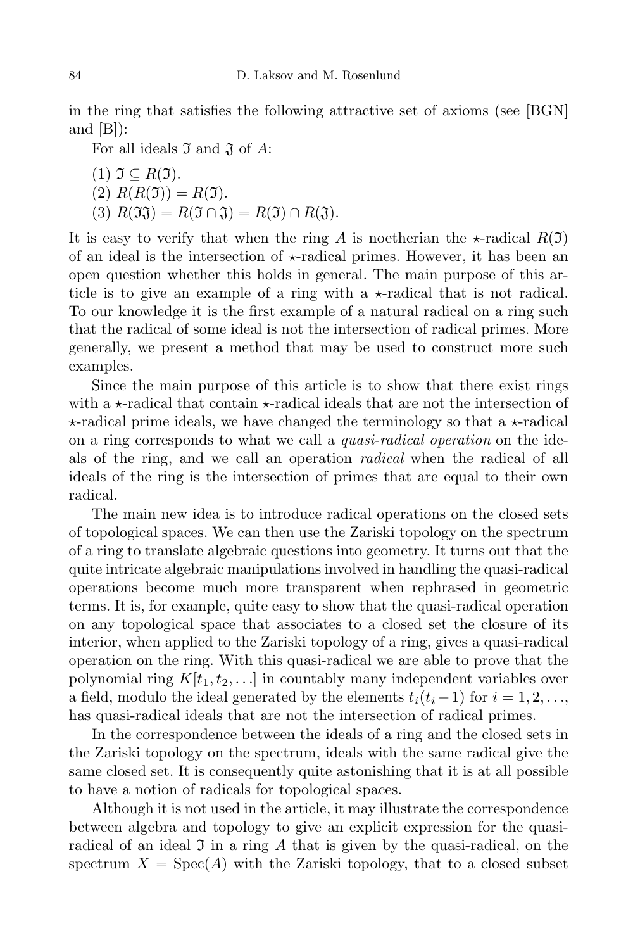in the ring that satisfies the following attractive set of axioms (see [BGN] and  $[B]$ :

For all ideals I and J of *A*:

(1) 
$$
\mathfrak{I} \subseteq R(\mathfrak{I}).
$$
  
(2)  $R(R(\mathfrak{I})) = R(\mathfrak{I}).$   
(3)  $R(\mathfrak{I}\mathfrak{J}) = R(\mathfrak{I} \cap \mathfrak{J}) = R(\mathfrak{I}) \cap R(\mathfrak{J}).$ 

It is easy to verify that when the ring *A* is noetherian the  $\star$ -radical  $R(\mathfrak{I})$ of an ideal is the intersection of  $\star$ -radical primes. However, it has been an open question whether this holds in general. The main purpose of this article is to give an example of a ring with a  $\star$ -radical that is not radical. To our knowledge it is the first example of a natural radical on a ring such that the radical of some ideal is not the intersection of radical primes. More generally, we present a method that may be used to construct more such examples.

Since the main purpose of this article is to show that there exist rings with a  $\star$ -radical that contain  $\star$ -radical ideals that are not the intersection of  $\star$ -radical prime ideals, we have changed the terminology so that a  $\star$ -radical on a ring corresponds to what we call a *quasi-radical operation* on the ideals of the ring, and we call an operation *radical* when the radical of all ideals of the ring is the intersection of primes that are equal to their own radical.

The main new idea is to introduce radical operations on the closed sets of topological spaces. We can then use the Zariski topology on the spectrum of a ring to translate algebraic questions into geometry. It turns out that the quite intricate algebraic manipulations involved in handling the quasi-radical operations become much more transparent when rephrased in geometric terms. It is, for example, quite easy to show that the quasi-radical operation on any topological space that associates to a closed set the closure of its interior, when applied to the Zariski topology of a ring, gives a quasi-radical operation on the ring. With this quasi-radical we are able to prove that the polynomial ring  $K[t_1, t_2, \ldots]$  in countably many independent variables over a field, modulo the ideal generated by the elements  $t_i(t_i-1)$  for  $i=1,2,\ldots$ , has quasi-radical ideals that are not the intersection of radical primes.

In the correspondence between the ideals of a ring and the closed sets in the Zariski topology on the spectrum, ideals with the same radical give the same closed set. It is consequently quite astonishing that it is at all possible to have a notion of radicals for topological spaces.

Although it is not used in the article, it may illustrate the correspondence between algebra and topology to give an explicit expression for the quasiradical of an ideal  $\Im$  in a ring  $A$  that is given by the quasi-radical, on the spectrum  $X = \text{Spec}(A)$  with the Zariski topology, that to a closed subset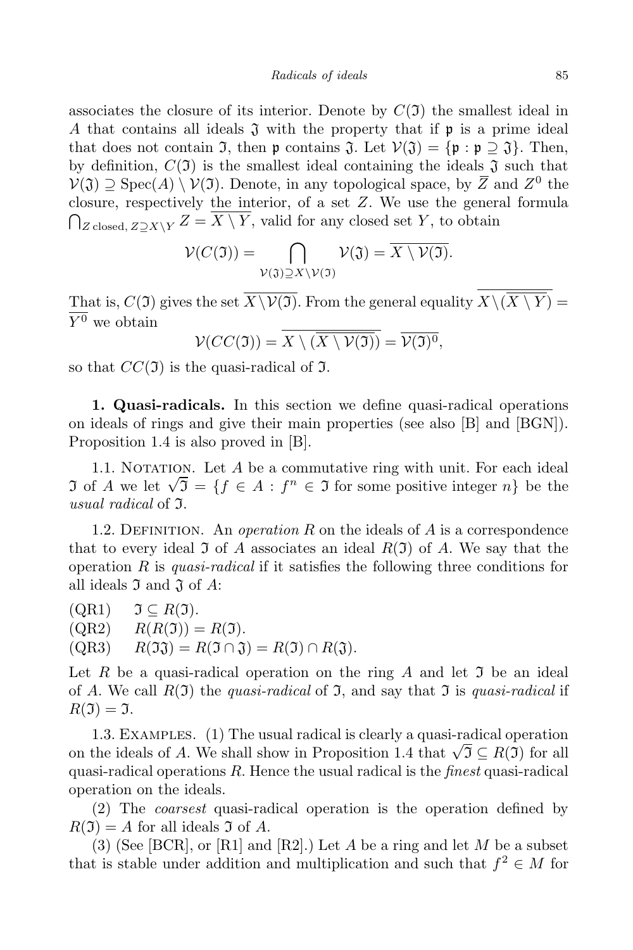associates the closure of its interior. Denote by  $C(\mathfrak{I})$  the smallest ideal in *A* that contains all ideals  $\mathfrak{J}$  with the property that if  $\mathfrak{p}$  is a prime ideal that does not contain  $\mathfrak{I}$ , then  $\mathfrak{p}$  contains  $\mathfrak{J}$ . Let  $\mathcal{V}(\mathfrak{J}) = {\mathfrak{p} : \mathfrak{p} \supset \mathfrak{J}}$ . Then, by definition,  $C(\mathfrak{I})$  is the smallest ideal containing the ideals  $\mathfrak{I}$  such that *V*(J) *⊇* Spec(*A*)  $\setminus$  *V*(J). Denote, in any topological space, by  $\overline{Z}$  and  $Z^0$  the closure, respectively the interior, of a set *Z*. We use the general formula  $\bigcap_{Z \text{ closed}, Z \supseteq X \setminus Y} Z = \overline{X \setminus Y}$ , valid for any closed set *Y*, to obtain

$$
\mathcal{V}(C(\mathfrak{I})) = \bigcap_{\mathcal{V}(\mathfrak{J}) \supseteq X \setminus \mathcal{V}(\mathfrak{I})} \mathcal{V}(\mathfrak{J}) = \overline{X \setminus \mathcal{V}(\mathfrak{I})}.
$$

That is,  $C(\mathfrak{I})$  gives the set  $\overline{X\setminus \mathcal{V}(\mathfrak{I})}$ . From the general equality  $\overline{X\setminus (\overline{X\setminus Y})}$  = *Y* <sup>0</sup> we obtain

$$
\mathcal{V}(CC(\mathfrak{I})) = X \setminus (\overline{X \setminus \mathcal{V}(\mathfrak{I})}) = \overline{\mathcal{V}(\mathfrak{I})^0},
$$

so that  $CC(\mathfrak{I})$  is the quasi-radical of  $\mathfrak{I}$ .

**1. Quasi-radicals.** In this section we define quasi-radical operations on ideals of rings and give their main properties (see also [B] and [BGN]). Proposition 1.4 is also proved in [B].

1.1. NOTATION. Let *A* be a commutative ring with unit. For each ideal In the linear Let  $\Gamma$  be a commander of linear direct  $\Gamma$  calls radial  $\Gamma$  and  $\Gamma$  is the solution of  $\Lambda$  we let  $\sqrt{3} = \{f \in A : f^n \in \mathfrak{I} \text{ for some positive integer } n\}$  be the *usual radical* of I.

1.2. DEFINITION. An *operation*  $R$  on the ideals of  $A$  is a correspondence that to every ideal  $\mathfrak I$  of  $A$  associates an ideal  $R(\mathfrak I)$  of  $A$ . We say that the operation *R* is *quasi-radical* if it satisfies the following three conditions for all ideals  $\mathfrak I$  and  $\mathfrak J$  of  $A$ :

 $\begin{array}{ll} \text{(QR1)} & \mathfrak{I} \subseteq R(\mathfrak{I}). \ \text{(QR2)} & R(R(\mathfrak{I})) = \end{array}$  $R(R(\mathfrak{I})) = R(\mathfrak{I}).$  $R(\mathfrak{I}) = R(\mathfrak{I} \cap \mathfrak{J}) = R(\mathfrak{I} \cap \mathfrak{J}) = R(\mathfrak{I}) \cap R(\mathfrak{J}).$ 

Let  $R$  be a quasi-radical operation on the ring  $A$  and let  $\mathfrak I$  be an ideal of *A*. We call  $R(\mathfrak{I})$  the *quasi-radical* of  $\mathfrak{I}$ , and say that  $\mathfrak{I}$  is *quasi-radical* if  $R(\mathfrak{I}) = \mathfrak{I}.$ 

1.3. Examples. (1) The usual radical is clearly a quasi-radical operation on the ideals of *A*. We shall show in Proposition 1.4 that  $\sqrt{3} \subseteq R(3)$  for all quasi-radical operations *R*. Hence the usual radical is the *finest* quasi-radical operation on the ideals.

(2) The *coarsest* quasi-radical operation is the operation defined by  $R(\mathfrak{I}) = A$  for all ideals  $\mathfrak{I}$  of A.

(3) (See [BCR], or [R1] and [R2].) Let *A* be a ring and let *M* be a subset that is stable under addition and multiplication and such that  $f^2 \in M$  for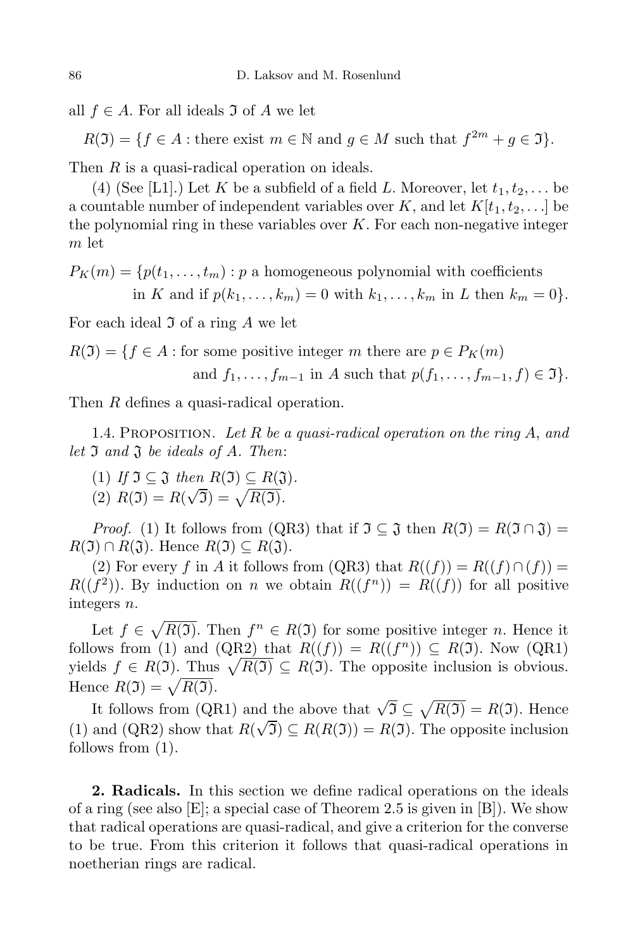all  $f$  ∈ *A*. For all ideals  $\mathfrak{I}$  of *A* we let

 $R(\mathfrak{I}) = \{ f \in A : \text{there exist } m \in \mathbb{N} \text{ and } g \in M \text{ such that } f^{2m} + g \in \mathfrak{I} \}.$ 

Then *R* is a quasi-radical operation on ideals.

(4) (See [L1].) Let *K* be a subfield of a field *L*. Moreover, let  $t_1, t_2, \ldots$  be a countable number of independent variables over  $K$ , and let  $K[t_1, t_2, \ldots]$  be the polynomial ring in these variables over *K*. For each non-negative integer *m* let

 $P_K(m) = \{p(t_1, \ldots, t_m) : p \text{ a homogeneous polynomial with coefficients}$ in K and if  $p(k_1,\ldots,k_m)=0$  with  $k_1,\ldots,k_m$  in L then  $k_m=0$ .

For each ideal  $\mathfrak I$  of a ring A we let

 $R(\mathfrak{I}) = \{f \in A : \text{for some positive integer } m \text{ there are } p \in P_K(m) \}$ and  $f_1, ..., f_{m-1}$  in A such that  $p(f_1, ..., f_{m-1}, f) \in \mathfrak{I}$ .

Then *R* defines a quasi-radical operation.

1.4. Proposition. *Let R be a quasi-radical operation on the ring A*, *and let* I *and* J *be ideals of A. Then*:

- $(1)$  *If*  $\mathfrak{I} \subseteq \mathfrak{J}$  *then*  $R(\mathfrak{I}) \subseteq R(\mathfrak{J})$ *.*
- $\overline{R(2)}$   $\overline{R(3)} = R(\sqrt{3}) = \sqrt{R(3)}$ .

*Proof.* (1) It follows from (QR3) that if  $\mathfrak{I} \subseteq \mathfrak{J}$  then  $R(\mathfrak{I}) = R(\mathfrak{I} \cap \mathfrak{J}) =$  $R(\mathfrak{I}) \cap R(\mathfrak{J})$ . Hence  $R(\mathfrak{I}) \subseteq R(\mathfrak{J})$ .

(2) For every *f* in *A* it follows from (QR3) that  $R((f)) = R((f) \cap (f))$  $R((f^2))$ . By induction on *n* we obtain  $R((f^n)) = R((f))$  for all positive integers *n*.

Let  $f \in \sqrt{R(\mathfrak{I})}$ . Then  $f^n \in R(\mathfrak{I})$  for some positive integer *n*. Hence it follows from (1) and (QR2) that  $R((f)) = R((f^n)) \subseteq R(\mathfrak{I})$ . Now (QR1) yields  $f \in R(\mathfrak{I})$ . Thus  $\sqrt{R(\mathfrak{I})} \subseteq R(\mathfrak{I})$ . The opposite inclusion is obvious. Hence  $R(\mathfrak{I}) = \sqrt{R(\mathfrak{I})}.$ 

It follows from (QR1) and the above that  $\sqrt{3} \subseteq \sqrt{R(3)} = R(3)$ . Hence (1) and (QR2) show that  $R(\sqrt{3}) \subseteq R(R(3)) = R(3)$ . The opposite inclusion follows from (1).

**2. Radicals.** In this section we define radical operations on the ideals of a ring (see also  $[E]$ ; a special case of Theorem 2.5 is given in  $[B]$ ). We show that radical operations are quasi-radical, and give a criterion for the converse to be true. From this criterion it follows that quasi-radical operations in noetherian rings are radical.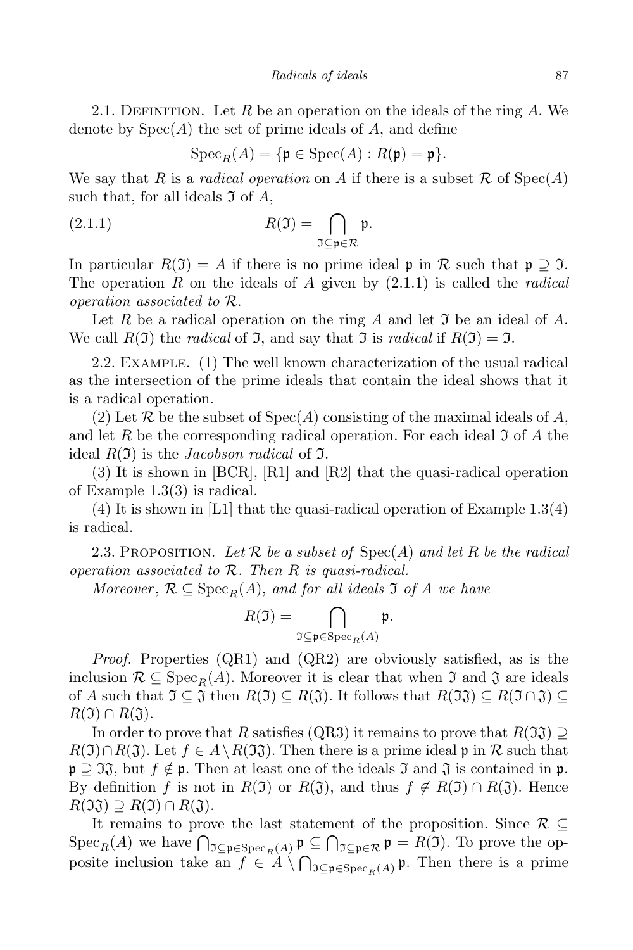2.1. Definition. Let *R* be an operation on the ideals of the ring *A*. We denote by Spec(*A*) the set of prime ideals of *A*, and define

$$
\operatorname{Spec}_R(A) = \{ \mathfrak{p} \in \operatorname{Spec}(A) : R(\mathfrak{p}) = \mathfrak{p} \}.
$$

We say that *R* is a *radical operation* on *A* if there is a subset R of  $Spec(A)$ such that, for all ideals  $\mathfrak I$  of  $A$ ,

(2.1.1) 
$$
R(\mathfrak{I}) = \bigcap_{\mathfrak{I} \subseteq \mathfrak{p} \in \mathcal{R}} \mathfrak{p}.
$$

In particular  $R(\mathfrak{I}) = A$  if there is no prime ideal p in  $\mathcal R$  such that  $\mathfrak{p} \supseteq \mathfrak{I}$ . The operation *R* on the ideals of *A* given by (2.1.1) is called the *radical operation associated to R*.

Let *R* be a radical operation on the ring *A* and let **J** be an ideal of *A*. We call  $R(\mathfrak{I})$  the *radical* of  $\mathfrak{I}$ , and say that  $\mathfrak{I}$  is *radical* if  $R(\mathfrak{I}) = \mathfrak{I}$ .

2.2. Example. (1) The well known characterization of the usual radical as the intersection of the prime ideals that contain the ideal shows that it is a radical operation.

(2) Let  $\mathcal R$  be the subset of  $Spec(A)$  consisting of the maximal ideals of  $A$ , and let R be the corresponding radical operation. For each ideal  $\mathfrak I$  of A the ideal *R*(I) is the *Jacobson radical* of I.

(3) It is shown in [BCR], [R1] and [R2] that the quasi-radical operation of Example 1.3(3) is radical.

(4) It is shown in [L1] that the quasi-radical operation of Example 1.3(4) is radical.

2.3. PROPOSITION. Let  $\mathcal{R}$  be a subset of  $Spec(A)$  and let  $R$  be the radical *operation associated to R. Then R is quasi-radical.*

*Moreover*,  $\mathcal{R} \subseteq \text{Spec}_R(A)$ , and for all ideals  $\mathfrak{I}$  of  $A$  we have

$$
R(\mathfrak{I})=\bigcap_{\mathfrak{I}\subseteq \mathfrak{p}\in \mathrm{Spec}_R(A)}\mathfrak{p}.
$$

*Proof.* Properties (QR1) and (QR2) are obviously satisfied, as is the inclusion  $\mathcal{R} \subseteq \text{Spec}_R(A)$ . Moreover it is clear that when  $\mathcal I$  and  $\mathcal J$  are ideals of *A* such that  $\mathfrak{I} \subseteq \mathfrak{J}$  then  $R(\mathfrak{I}) \subseteq R(\mathfrak{J})$ . It follows that  $R(\mathfrak{I}\mathfrak{J}) \subseteq R(\mathfrak{I} \cap \mathfrak{J}) \subseteq$  $R(\mathfrak{I}) \cap R(\mathfrak{J}).$ 

In order to prove that *R* satisfies (QR3) it remains to prove that  $R(\mathfrak{I}\mathfrak{J})\supseteq$  $R(\mathfrak{I}) \cap R(\mathfrak{J})$ . Let  $f \in A \setminus R(\mathfrak{I}\mathfrak{J})$ . Then there is a prime ideal p in  $\mathcal R$  such that p *⊇* II, but  $f \notin \mathfrak{p}$ . Then at least one of the ideals I and I is contained in p. By definition *f* is not in  $R(\mathfrak{I})$  or  $R(\mathfrak{J})$ , and thus  $f \notin R(\mathfrak{I}) \cap R(\mathfrak{J})$ . Hence  $R(\mathfrak{I}\mathfrak{J}) \supseteq R(\mathfrak{I}) \cap R(\mathfrak{J}).$ 

It remains to prove the last statement of the proposition. Since *R ⊆*  $Spec_R(A)$  we have  $\bigcap_{\mathfrak{I}\subseteq \mathfrak{p}\in \text{Spec}_R(A)} \mathfrak{p} \subseteq \bigcap_{\mathfrak{I}\subseteq \mathfrak{p}\in \mathcal{R}} \mathfrak{p} = R(\mathfrak{I})$ . To prove the opposite inclusion take an  $f \in A \setminus \bigcap_{\mathfrak{I} \subseteq \mathfrak{p} \in \mathrm{Spec}_R(A)} \mathfrak{p}$ . Then there is a prime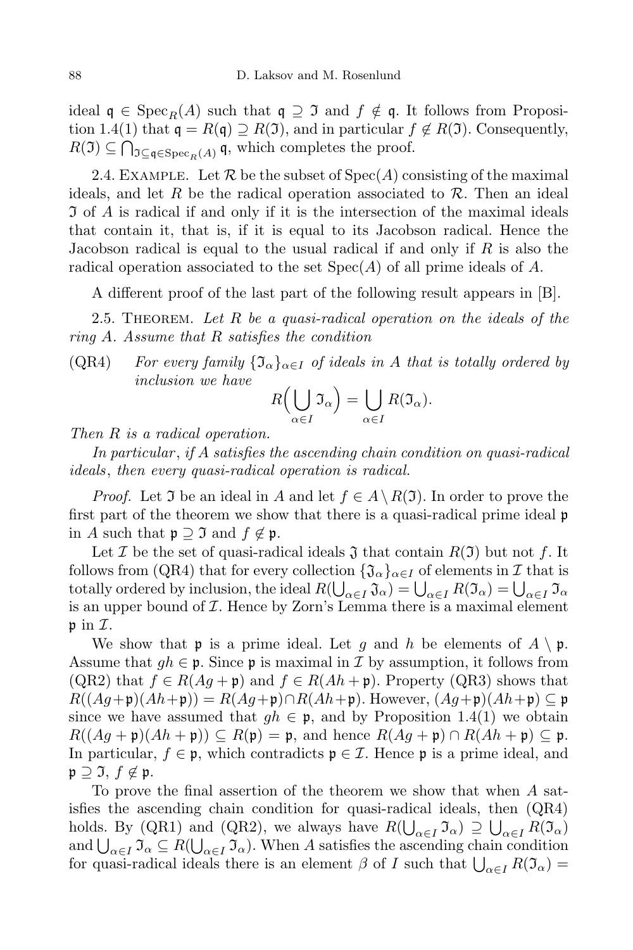ideal  $\mathfrak{q} \in \text{Spec}_R(A)$  such that  $\mathfrak{q} \supseteq \mathfrak{I}$  and  $f \notin \mathfrak{q}$ . It follows from Proposition 1.4(1) that  $\mathfrak{q} = R(\mathfrak{q}) \supseteq R(\mathfrak{I})$ , and in particular  $f \notin R(\mathfrak{I})$ . Consequently,  $R(\mathfrak{I}) \subseteq \bigcap_{\mathfrak{I} \subseteq \mathfrak{q} \in \mathrm{Spec}_R(A)} \mathfrak{q}$ , which completes the proof.

2.4. EXAMPLE. Let  $\mathcal R$  be the subset of  $Spec(A)$  consisting of the maximal ideals, and let *R* be the radical operation associated to *R*. Then an ideal I of *A* is radical if and only if it is the intersection of the maximal ideals that contain it, that is, if it is equal to its Jacobson radical. Hence the Jacobson radical is equal to the usual radical if and only if *R* is also the radical operation associated to the set Spec(*A*) of all prime ideals of *A*.

A different proof of the last part of the following result appears in [B].

2.5. Theorem. *Let R be a quasi-radical operation on the ideals of the ring A. Assume that R satisfies the condition*

 $(QR4)$  *For every family*  ${\mathfrak{Z}}_{\alpha}$ *<sub>* $\alpha \in I$ *</sub> of ideals in A that is totally ordered by inclusion we have*

$$
R\left(\bigcup_{\alpha\in I}\mathfrak{I}_{\alpha}\right)=\bigcup_{\alpha\in I}R(\mathfrak{I}_{\alpha}).
$$

*Then R is a radical operation.*

*In particular* , *if A satisfies the ascending chain condition on quasi-radical ideals*, *then every quasi-radical operation is radical.*

*Proof.* Let J be an ideal in *A* and let  $f \in A \setminus R(\mathfrak{I})$ . In order to prove the first part of the theorem we show that there is a quasi-radical prime ideal p in *A* such that  $\mathfrak{p} \supseteq \mathfrak{I}$  and  $f \notin \mathfrak{p}$ .

Let *I* be the set of quasi-radical ideals  $\mathfrak J$  that contain  $R(\mathfrak I)$  but not *f*. It follows from (QR4) that for every collection  ${\mathfrak{J}}_\alpha$ *<sub>* $\alpha \in I$ *</sub>* of elements in *I* that is totally ordered by inclusion, the ideal  $R(\bigcup_{\alpha \in I} \mathfrak{J}_{\alpha}) = \bigcup_{\alpha \in I} R(\mathfrak{I}_{\alpha}) = \bigcup_{\alpha \in I} \mathfrak{I}_{\alpha}$ is an upper bound of *I*. Hence by Zorn's Lemma there is a maximal element p in *I*.

We show that **p** is a prime ideal. Let *g* and *h* be elements of  $A \setminus \mathfrak{p}$ . Assume that  $gh \in \mathfrak{p}$ . Since  $\mathfrak{p}$  is maximal in *I* by assumption, it follows from  $(QR2)$  that  $f \in R(Ag + \mathfrak{p})$  and  $f \in R(Ah + \mathfrak{p})$ . Property  $(QR3)$  shows that *R*( $(Ag + \mathfrak{p})(Ah + \mathfrak{p})$ ) = *R*( $Ag + \mathfrak{p}) \cap R(Ah + \mathfrak{p})$ . However,  $(Ag + \mathfrak{p})(Ah + \mathfrak{p}) \subseteq \mathfrak{p}$ since we have assumed that  $gh \in \mathfrak{p}$ , and by Proposition 1.4(1) we obtain  $R((Ag + \mathfrak{p})(Ah + \mathfrak{p})) \subseteq R(\mathfrak{p}) = \mathfrak{p}$ , and hence  $R(Ag + \mathfrak{p}) \cap R(Ah + \mathfrak{p}) \subseteq \mathfrak{p}$ . In particular,  $f \in \mathfrak{p}$ , which contradicts  $\mathfrak{p} \in \mathcal{I}$ . Hence  $\mathfrak{p}$  is a prime ideal, and p *⊇* I, *f 6∈* p.

To prove the final assertion of the theorem we show that when *A* satisfies the ascending chain condition for quasi-radical ideals, then (QR4) holds. By (QR1) and (QR2), we always have  $R(\bigcup_{\alpha \in I} \mathfrak{I}_{\alpha}) \supseteq \bigcup_{\alpha \in I} R(\mathfrak{I}_{\alpha})$ and  $\bigcup_{\alpha \in I} \mathfrak{I}_{\alpha} \subseteq R(\bigcup_{\alpha \in I} \mathfrak{I}_{\alpha})$ . When *A* satisfies the ascending chain condition for quasi-radical ideals there is an element  $\beta$  of *I* such that  $\bigcup_{\alpha \in I} R(\mathfrak{I}_{\alpha}) =$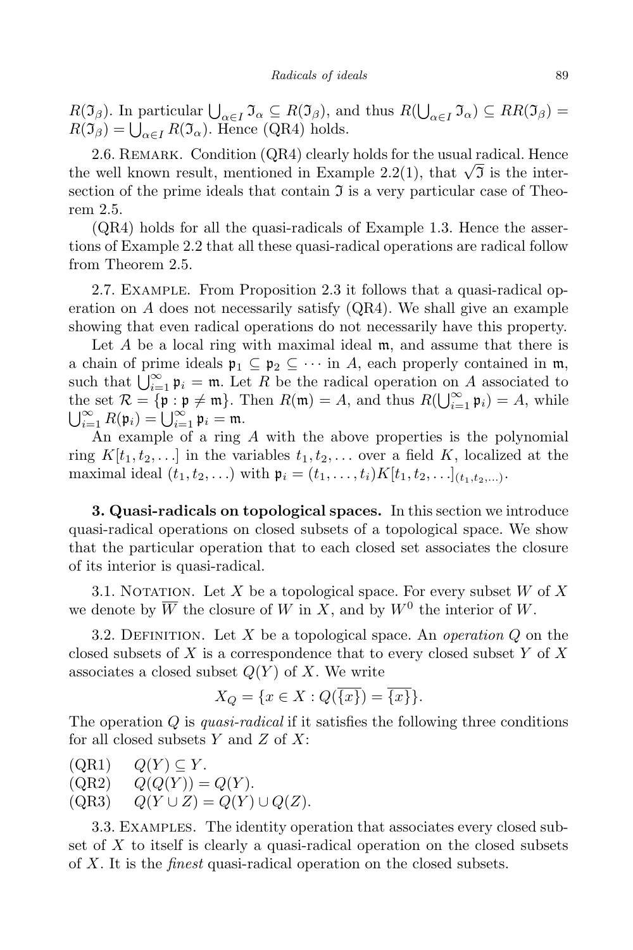*R*( $\mathcal{I}_{\beta}$ ). In particular  $\bigcup_{\alpha \in I} \mathcal{I}_{\alpha} \subseteq R(\mathcal{I}_{\beta})$ , and thus  $R(\bigcup_{\alpha \in I} \mathcal{I}_{\alpha}) \subseteq RR(\mathcal{I}_{\beta}) =$  $R(\mathfrak{I}_{\beta}) = \bigcup_{\alpha \in I} R(\mathfrak{I}_{\alpha})$ . Hence (QR4) holds.

2.6. REMARK. Condition (QR4) clearly holds for the usual radical. Hence the well known result, mentioned in Example 2.2(1), that  $\sqrt{3}$  is the intersection of the prime ideals that contain  $\mathfrak I$  is a very particular case of Theorem 2.5.

(QR4) holds for all the quasi-radicals of Example 1.3. Hence the assertions of Example 2.2 that all these quasi-radical operations are radical follow from Theorem 2.5.

2.7. Example. From Proposition 2.3 it follows that a quasi-radical operation on  $\tilde{A}$  does not necessarily satisfy  $(QR4)$ . We shall give an example showing that even radical operations do not necessarily have this property.

Let *A* be a local ring with maximal ideal m, and assume that there is a chain of prime ideals  $\mathfrak{p}_1 \subseteq \mathfrak{p}_2 \subseteq \cdots$  in A, each properly contained in m, such that  $\bigcup_{i=1}^{\infty} \mathfrak{p}_i = \mathfrak{m}$ . Let *R* be the radical operation on *A* associated to the set  $\mathcal{R} = {\mathfrak{p} : \mathfrak{p} \neq \mathfrak{m}}$ . Then  $R(\mathfrak{m}) = A$ , and thus  $R(\bigcup_{i=1}^{\infty} \mathfrak{p}_i) = A$ , while  $\bigcup_{i=1}^{\infty} R(\mathfrak{p}_i) = \bigcup_{i=1}^{\infty} \mathfrak{p}_i = \mathfrak{m}.$ 

An example of a ring *A* with the above properties is the polynomial ring  $K[t_1, t_2, \ldots]$  in the variables  $t_1, t_2, \ldots$  over a field K, localized at the maximal ideal  $(t_1, t_2,...)$  with  $\mathfrak{p}_i = (t_1,..., t_i)K[t_1, t_2,...]_{(t_1, t_2,...)}$ .

**3. Quasi-radicals on topological spaces.** In this section we introduce quasi-radical operations on closed subsets of a topological space. We show that the particular operation that to each closed set associates the closure of its interior is quasi-radical.

3.1. Notation. Let *X* be a topological space. For every subset *W* of *X* we denote by  $\overline{W}$  the closure of *W* in *X*, and by  $W^0$  the interior of *W*.

3.2. Definition. Let *X* be a topological space. An *operation Q* on the closed subsets of *X* is a correspondence that to every closed subset *Y* of *X* associates a closed subset *Q*(*Y* ) of *X*. We write

$$
X_Q = \{ x \in X : Q(\overline{\{x\}}) = \overline{\{x\}} \}.
$$

The operation *Q* is *quasi-radical* if it satisfies the following three conditions for all closed subsets *Y* and *Z* of *X*:

 $(QR1)$   $Q(Y) \subseteq Y$ .<br>  $(QR2)$   $Q(Q(Y)) =$  $Q(Q(Y)) = Q(Y)$ .  $(QR3)$   $Q(Y \cup Z) = Q(Y) \cup Q(Z).$ 

3.3. Examples. The identity operation that associates every closed subset of *X* to itself is clearly a quasi-radical operation on the closed subsets of *X*. It is the *finest* quasi-radical operation on the closed subsets.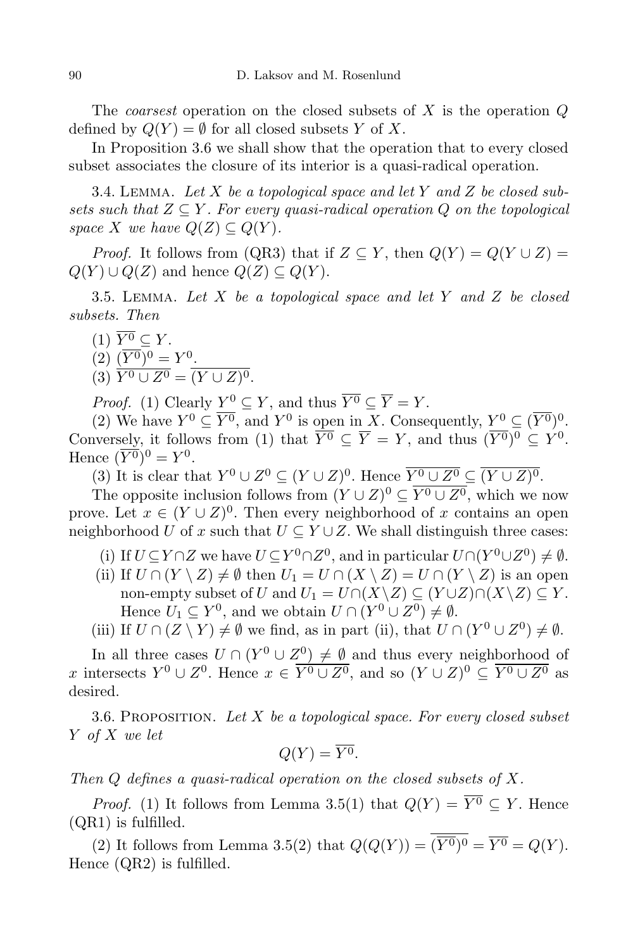The *coarsest* operation on the closed subsets of *X* is the operation *Q* defined by  $Q(Y) = \emptyset$  for all closed subsets *Y* of *X*.

In Proposition 3.6 we shall show that the operation that to every closed subset associates the closure of its interior is a quasi-radical operation.

3.4. Lemma. *Let X be a topological space and let Y and Z be closed subsets* such that  $Z \subseteq Y$ . For every quasi-radical operation  $Q$  on the topological *space X we have*  $Q(Z) \subseteq Q(Y)$ *.* 

*Proof.* It follows from (QR3) that if  $Z \subseteq Y$ , then  $Q(Y) = Q(Y \cup Z) =$  $Q(Y) \cup Q(Z)$  and hence  $Q(Z) \subseteq Q(Y)$ .

3.5. Lemma. *Let X be a topological space and let Y and Z be closed subsets. Then*

- $(1)$   $\overline{Y^0} \subset Y$ .
- $(2) \ (\overline{Y^0})^0 = Y^0.$
- (3)  $Y^0 \cup Z^0 = (Y \cup Z)^0$ .

*Proof.* (1) Clearly  $\underline{Y}^0 \subseteq Y$ , and thus  $\overline{Y^0} \subseteq \overline{Y} = Y$ .

(2) We have  $Y^0 \subseteq \overline{Y^0}$ , and  $Y^0$  is open in *X*. Consequently,  $Y^0 \subseteq (\overline{Y^0})^0$ . Conversely, it follows from (1) that  $\overline{Y^0} \subseteq \overline{Y} = Y$ , and thus  $(\overline{Y^0})^0 \subseteq Y^0$ . Hence  $(\overline{Y^0})^0 = Y^0$ .

 $(X^0)$  It is clear that  $Y^0 \cup Z^0 \subseteq (Y \cup Z)^0$ . Hence  $\overline{Y^0 \cup Z^0} \subseteq (\overline{Y \cup Z)^0}$ .

The opposite inclusion follows from  $(Y \cup Z)^0 \subseteq \overline{Y^0 \cup Z^0}$ , which we now prove. Let  $x \in (Y \cup Z)^0$ . Then every neighborhood of *x* contains an open neighborhood *U* of *x* such that  $U \subseteq Y \cup Z$ . We shall distinguish three cases:

- (i) If  $U \subseteq Y \cap Z$  we have  $U \subseteq Y^0 \cap Z^0$ , and in particular  $U \cap (Y^0 \cup Z^0) \neq \emptyset$ .
- (ii) If  $U \cap (Y \setminus Z) \neq \emptyset$  then  $U_1 = U \cap (X \setminus Z) = U \cap (Y \setminus Z)$  is an open non-empty subset of *U* and  $U_1 = U \cap (X \setminus Z) \subseteq (Y \cup Z) \cap (X \setminus Z) \subseteq Y$ . Hence  $U_1 \subseteq Y^0$ , and we obtain  $U \cap (Y^0 \cup Z^0) \neq \emptyset$ .
- (iii) If  $U \cap (Z \setminus Y) \neq \emptyset$  we find, as in part (ii), that  $U \cap (Y^0 \cup Z^0) \neq \emptyset$ .

In all three cases  $U \cap (Y^0 \cup Z^0) \neq \emptyset$  and thus every neighborhood of *x* intersects  $Y^0 \cup Z^0$ . Hence  $x \in \overline{Y^0 \cup Z^0}$ , and so  $(Y \cup Z)^0 \subseteq \overline{Y^0 \cup Z^0}$  as desired.

3.6. Proposition. *Let X be a topological space. For every closed subset Y of X we let*

$$
Q(Y) = \overline{Y^0}.
$$

*Then Q defines a quasi-radical operation on the closed subsets of X.*

*Proof.* (1) It follows from Lemma 3.5(1) that  $Q(Y) = \overline{Y^0} \subseteq Y$ . Hence (QR1) is fulfilled.

(2) It follows from Lemma 3.5(2) that  $Q(Q(Y)) = (Y^0)^0 = Y^0 = Q(Y)$ . Hence (QR2) is fulfilled.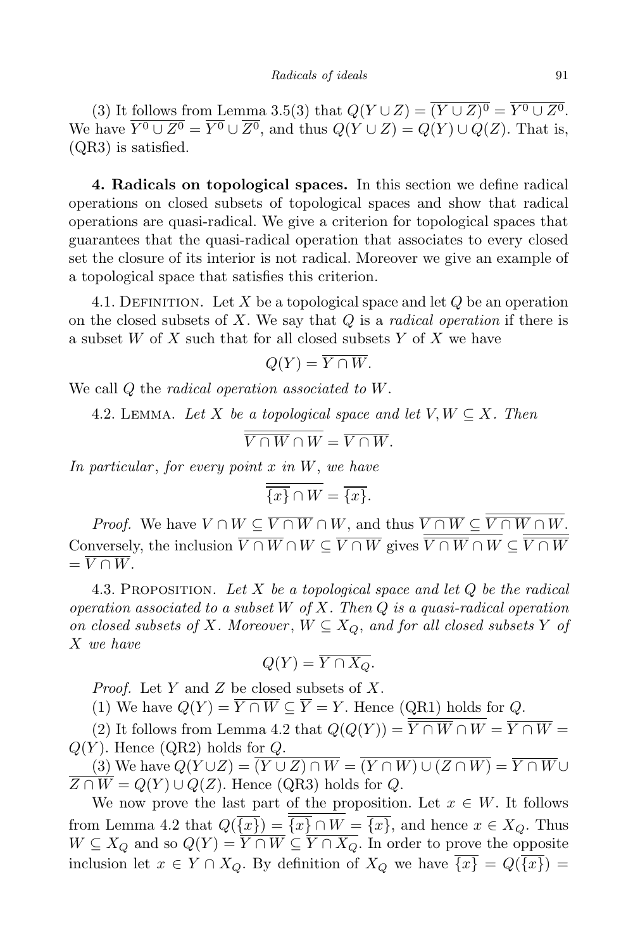(3) It follows from Lemma 3.5(3) that  $Q(Y \cup Z) = (Y \cup Z)^0 = Y^0 \cup Z^0$ . We have  $\overline{Y^0 \cup Z^0} = \overline{Y^0} \cup \overline{Z^0}$ , and thus  $Q(Y \cup Z) = Q(Y) \cup Q(Z)$ . That is, (QR3) is satisfied.

**4. Radicals on topological spaces.** In this section we define radical operations on closed subsets of topological spaces and show that radical operations are quasi-radical. We give a criterion for topological spaces that guarantees that the quasi-radical operation that associates to every closed set the closure of its interior is not radical. Moreover we give an example of a topological space that satisfies this criterion.

4.1. DEFINITION. Let X be a topological space and let  $Q$  be an operation on the closed subsets of *X*. We say that *Q* is a *radical operation* if there is a subset *W* of *X* such that for all closed subsets *Y* of *X* we have

$$
Q(Y) = \overline{Y \cap W}.
$$

We call *Q* the *radical operation associated to W*.

4.2. LEMMA. Let *X* be a topological space and let  $V, W \subseteq X$ . Then

$$
\overline{V \cap W} \cap W = \overline{V \cap W}.
$$

*In particular* , *for every point x in W*, *we have*

$$
\overline{\overline{\{x\}} \cap W} = \overline{\{x\}}.
$$

*Proof.* We have  $V \cap W \subseteq V \cap W \cap W$ , and thus  $V \cap W \subseteq V \cap W \cap W$ . Conversely, the inclusion  $V \cap W \cap W \subseteq V \cap W$  gives  $V \cap W \cap W \subseteq V \cap W$  $= \overline{V \cap W}.$ 

4.3. Proposition. *Let X be a topological space and let Q be the radical operation associated to a subset W of X. Then Q is a quasi-radical operation on closed subsets of X. Moreover*,  $W \subseteq X_Q$ *, and for all closed subsets*  $Y$  *of X we have*

$$
Q(Y) = Y \cap X_Q.
$$

*Proof.* Let *Y* and *Z* be closed subsets of *X*.

(1) We have  $Q(Y) = \overline{Y \cap W} \subseteq \overline{Y} = Y$ . Hence (QR1) holds for *Q*.

(2) It follows from Lemma 4.2 that  $Q(Q(Y)) = \overline{Y \cap W} \cap W = \overline{Y \cap W}$  $Q(Y)$ . Hence  $(QR2)$  holds for  $Q$ .

 $(3)$  We have  $Q(Y \cup Z) = \overline{(Y \cup Z) \cap W} = \overline{(Y \cap W) \cup (Z \cap W)} = \overline{Y \cap W} \cup$  $\overline{Z \cap W} = Q(Y) \cup Q(Z)$ . Hence (QR3) holds for *Q*.

We now prove the last part of the proposition. Let  $x \in W$ . It follows from Lemma 4.2 that  $Q(\overline{\{x\}}) = \overline{\{x\}} \cap W = \overline{\{x\}}$ , and hence  $x \in X_Q$ . Thus *W* ⊆ *X*<sub>*Q*</sub> and so  $Q(Y) = \overline{Y \cap W}$  ⊆  $\overline{Y \cap X_Q}$ . In order to prove the opposite inclusion let  $x \in Y \cap X_Q$ . By definition of  $X_Q$  we have  $\overline{\{x\}} = Q(\overline{\{x\}}) =$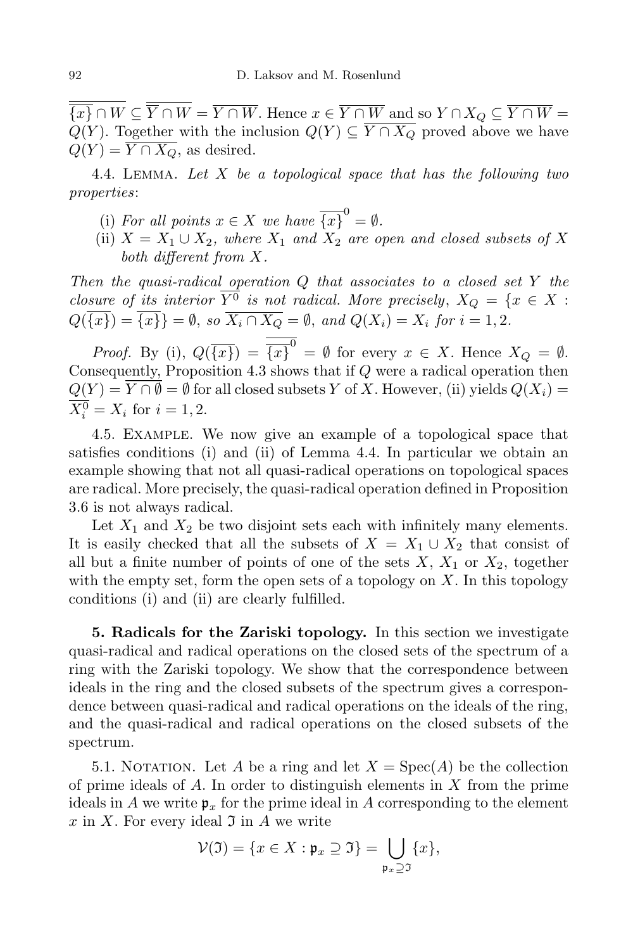$\overline{\overline{\{x\}} \cap W} \subseteq \overline{\overline{Y} \cap W} = \overline{Y \cap W}$ . Hence  $x \in \overline{Y \cap W}$  and so  $Y \cap X_Q \subseteq \overline{Y \cap W} =$ *Q*(*Y*). Together with the inclusion  $Q(Y)$  ⊆  $\overline{Y \cap X_Q}$  proved above we have  $Q(Y) = \overline{Y \cap X_Q}$ , as desired.

4.4. Lemma. *Let X be a topological space that has the following two properties*:

- (i) For all points  $x \in X$  we have  $\overline{\{x\}}^0 = \emptyset$ .
- (ii)  $X = X_1 \cup X_2$ , where  $X_1$  and  $X_2$  are open and closed subsets of X *both different from X.*

*Then the quasi-radical operation Q that associates to a closed set Y the closure of its interior*  $\overline{Y^0}$  *is not radical. More precisely*,  $X_Q = \{x \in X :$  $Q(\overline{\{x\}}) = \overline{\{x\}} = \emptyset$ , so  $\overline{X_i \cap X_Q} = \emptyset$ , and  $Q(X_i) = X_i$  for  $i = 1, 2$ .

*Proof.* By (i),  $Q(\overline{\{x\}}) = \overline{\{x\}}^0 = \emptyset$  for every  $x \in X$ . Hence  $X_Q = \emptyset$ . Consequently, Proposition 4.3 shows that if *Q* were a radical operation then  $Q(Y) = \overline{Y \cap \emptyset} = \emptyset$  for all closed subsets *Y* of *X*. However, (ii) yields  $Q(X_i) =$  $X_i^0 = X_i$  for  $i = 1, 2$ .

4.5. Example. We now give an example of a topological space that satisfies conditions (i) and (ii) of Lemma 4.4. In particular we obtain an example showing that not all quasi-radical operations on topological spaces are radical. More precisely, the quasi-radical operation defined in Proposition 3.6 is not always radical.

Let  $X_1$  and  $X_2$  be two disjoint sets each with infinitely many elements. It is easily checked that all the subsets of  $X = X_1 \cup X_2$  that consist of all but a finite number of points of one of the sets  $X, X_1$  or  $X_2$ , together with the empty set, form the open sets of a topology on *X*. In this topology conditions (i) and (ii) are clearly fulfilled.

**5. Radicals for the Zariski topology.** In this section we investigate quasi-radical and radical operations on the closed sets of the spectrum of a ring with the Zariski topology. We show that the correspondence between ideals in the ring and the closed subsets of the spectrum gives a correspondence between quasi-radical and radical operations on the ideals of the ring, and the quasi-radical and radical operations on the closed subsets of the spectrum.

5.1. NOTATION. Let *A* be a ring and let  $X = \text{Spec}(A)$  be the collection of prime ideals of *A*. In order to distinguish elements in *X* from the prime ideals in *A* we write  $\mathfrak{p}_x$  for the prime ideal in *A* corresponding to the element  $x$  in  $X$ . For every ideal  $\mathfrak I$  in  $A$  we write

$$
\mathcal{V}(\mathfrak{I}) = \{x \in X : \mathfrak{p}_x \supseteq \mathfrak{I}\} = \bigcup_{\mathfrak{p}_x \supseteq \mathfrak{I}} \{x\},
$$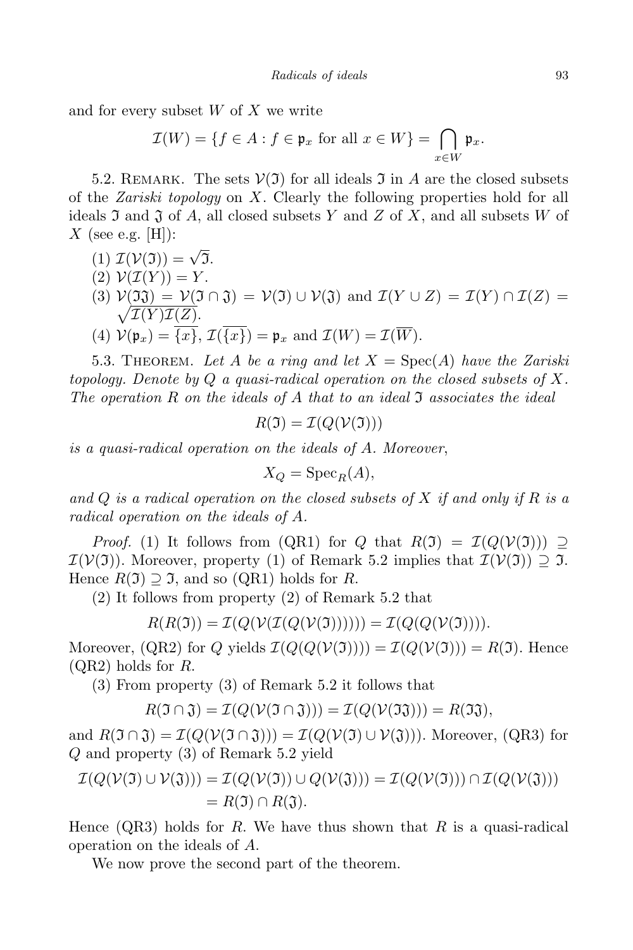and for every subset *W* of *X* we write

$$
\mathcal{I}(W) = \{ f \in A : f \in \mathfrak{p}_x \text{ for all } x \in W \} = \bigcap_{x \in W} \mathfrak{p}_x.
$$

5.2. REMARK. The sets  $V(\mathfrak{I})$  for all ideals  $\mathfrak{I}$  in A are the closed subsets of the *Zariski topology* on *X*. Clearly the following properties hold for all ideals  $\mathfrak I$  and  $\mathfrak J$  of  $A$ , all closed subsets  $Y$  and  $Z$  of  $X$ , and all subsets  $W$  of *X* (see e.g. [H]):

- $I(\mathcal{V}(\mathfrak{I})) = \sqrt{\overline{\mathfrak{I}}}$ .
- $(2)$   $\mathcal{V}(\mathcal{I}(Y)) = Y$ .
- $V(3) V(33) = V(3 \cap 3) = V(3) \cup V(3)$  and  $\mathcal{I}(Y \cup Z) = \mathcal{I}(Y) \cap \mathcal{I}(Z) = \sqrt{\mathcal{I}(Y)\mathcal{I}(Z)}$ .  $\mathcal{I}(Y)\mathcal{I}(\underline{Z}).$
- (4)  $\mathcal{V}(\mathfrak{p}_x) = \overline{\{x\}}$ ,  $\mathcal{I}(\overline{\{x\}}) = \mathfrak{p}_x$  and  $\mathcal{I}(W) = \mathcal{I}(\overline{W})$ .

5.3. THEOREM. Let A be a ring and let  $X = \text{Spec}(A)$  have the Zariski *topology. Denote by Q a quasi-radical operation on the closed subsets of X. The operation R on the ideals of A that to an ideal* I *associates the ideal*

$$
R(\mathfrak{I}) = \mathcal{I}(Q(\mathcal{V}(\mathfrak{I})))
$$

*is a quasi-radical operation on the ideals of A. Moreover*,

$$
X_Q = \operatorname{Spec}_R(A),
$$

*and Q is a radical operation on the closed subsets of X if and only if R is a radical operation on the ideals of A.*

*Proof.* (1) It follows from (QR1) for *Q* that  $R(\mathfrak{I}) = \mathcal{I}(Q(\mathcal{V}(\mathfrak{I}))) \supseteq$  $\mathcal{I}(\mathcal{V}(\mathfrak{I}))$ . Moreover, property (1) of Remark 5.2 implies that  $\mathcal{I}(\mathcal{V}(\mathfrak{I})) \supseteq \mathfrak{I}$ . Hence  $R(\mathfrak{I}) \supset \mathfrak{I}$ , and so (QR1) holds for R.

(2) It follows from property (2) of Remark 5.2 that

$$
R(R(\mathfrak{I})) = \mathcal{I}(Q(\mathcal{V}(\mathcal{I}(Q(\mathcal{V}(\mathfrak{I})))))) = \mathcal{I}(Q(Q(\mathcal{V}(\mathfrak{I}))))
$$

Moreover,  $(QR2)$  for *Q* yields  $\mathcal{I}(Q(Q(\mathcal{V}(3)))) = \mathcal{I}(Q(\mathcal{V}(3))) = R(3)$ . Hence (QR2) holds for *R*.

(3) From property (3) of Remark 5.2 it follows that

$$
R(\mathfrak{I} \cap \mathfrak{J}) = \mathcal{I}(Q(\mathcal{V}(\mathfrak{I} \cap \mathfrak{J}))) = \mathcal{I}(Q(\mathcal{V}(\mathfrak{I}\mathfrak{J}))) = R(\mathfrak{I}\mathfrak{J}),
$$

and  $R(\mathfrak{I} \cap \mathfrak{J}) = \mathcal{I}(Q(\mathcal{V}(\mathfrak{I} \cap \mathfrak{J}))) = \mathcal{I}(Q(\mathcal{V}(\mathfrak{I}) \cup \mathcal{V}(\mathfrak{J})))$ . Moreover, (QR3) for *Q* and property (3) of Remark 5.2 yield

$$
\mathcal{I}(Q(\mathcal{V}(\mathfrak{I}) \cup \mathcal{V}(\mathfrak{J}))) = \mathcal{I}(Q(\mathcal{V}(\mathfrak{I})) \cup Q(\mathcal{V}(\mathfrak{J}))) = \mathcal{I}(Q(\mathcal{V}(\mathfrak{I}))) \cap \mathcal{I}(Q(\mathcal{V}(\mathfrak{J})))
$$
  
=  $R(\mathfrak{I}) \cap R(\mathfrak{J}).$ 

Hence (QR3) holds for *R*. We have thus shown that *R* is a quasi-radical operation on the ideals of *A*.

We now prove the second part of the theorem.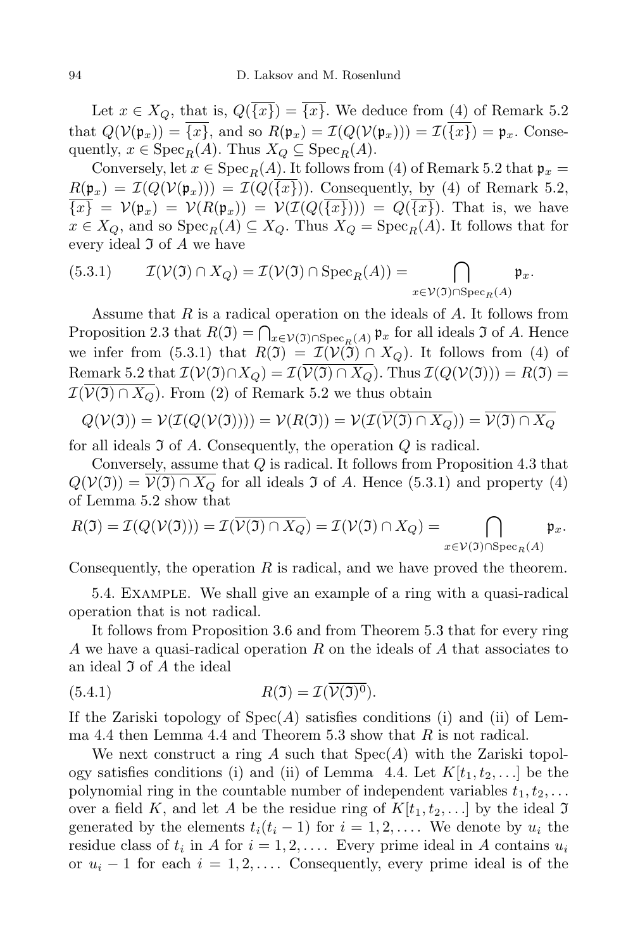Let  $x \in X_Q$ , that is,  $Q(\overline{\{x\}}) = \overline{\{x\}}$ . We deduce from (4) of Remark 5.2 that  $Q(\mathcal{V}(\mathfrak{p}_x)) = \overline{\{x\}}$ , and so  $R(\mathfrak{p}_x) = \mathcal{I}(Q(\mathcal{V}(\mathfrak{p}_x))) = \mathcal{I}(\overline{\{x\}}) = \mathfrak{p}_x$ . Consequently,  $x \in \text{Spec}_R(A)$ . Thus  $X_Q \subseteq \text{Spec}_R(A)$ .

Conversely, let  $x \in \text{Spec}_R(A)$ . It follows from (4) of Remark 5.2 that  $\mathfrak{p}_x =$  $R(\mathfrak{p}_x) = \mathcal{I}(Q(\mathcal{V}(\mathfrak{p}_x))) = \mathcal{I}(Q(\overline{\{x\}}))$ . Consequently, by (4) of Remark 5.2,  $\overline{\{x\}} = \mathcal{V}(\mathfrak{p}_x) = \mathcal{V}(R(\mathfrak{p}_x)) = \mathcal{V}(\mathcal{I}(Q(\overline{\{x\}}))) = Q(\overline{\{x\}})$ . That is, we have  $x \in X_Q$ , and so  $Spec_R(A) \subseteq X_Q$ . Thus  $X_Q = Spec_R(A)$ . It follows that for every ideal I of *A* we have

(5.3.1) 
$$
\mathcal{I}(\mathcal{V}(\mathfrak{I}) \cap X_Q) = \mathcal{I}(\mathcal{V}(\mathfrak{I}) \cap \operatorname{Spec}_R(A)) = \bigcap_{x \in \mathcal{V}(\mathfrak{I}) \cap \operatorname{Spec}_R(A)} \mathfrak{p}_x.
$$

Assume that *R* is a radical operation on the ideals of *A*. It follows from Proposition 2.3 that  $R(\mathfrak{I}) = \bigcap_{x \in \mathcal{V}(\mathfrak{I}) \cap \mathrm{Spec}_R(A)} \mathfrak{p}_x$  for all ideals  $\mathfrak{I}$  of *A*. Hence we infer from (5.3.1) that  $R(\mathfrak{I}) = \mathcal{I}(\mathcal{V}(\mathfrak{I}) \cap X_Q)$ . It follows from (4) of Remark 5.2 that  $\mathcal{I}(\mathcal{V}(\mathfrak{I}) \cap X_Q) = \mathcal{I}(\overline{\mathcal{V}(\mathfrak{I}) \cap X_Q})$ . Thus  $\mathcal{I}(Q(\mathcal{V}(\mathfrak{I}))) = R(\mathfrak{I}) =$  $\mathcal{I}(\overline{\mathcal{V}(J) \cap X_Q})$ . From (2) of Remark 5.2 we thus obtain

$$
Q(\mathcal{V}(\mathfrak{I})) = \mathcal{V}(\mathcal{I}(Q(\mathcal{V}(\mathfrak{I})))) = \mathcal{V}(R(\mathfrak{I})) = \mathcal{V}(\mathcal{I}(\overline{\mathcal{V}(\mathfrak{I}) \cap X_Q})) = \overline{\mathcal{V}(\mathfrak{I}) \cap X_Q}
$$

for all ideals I of *A*. Consequently, the operation *Q* is radical.

Conversely, assume that *Q* is radical. It follows from Proposition 4.3 that  $Q(V(3)) = V(3) \cap X_{\mathcal{Q}}$  for all ideals 3 of *A*. Hence (5.3.1) and property (4) of Lemma 5.2 show that

$$
R(\mathfrak{I})=\mathcal{I}(Q(\mathcal{V}(\mathfrak{I})))=\mathcal{I}(\overline{\mathcal{V}(\mathfrak{I})\cap X_Q})=\mathcal{I}(\mathcal{V}(\mathfrak{I})\cap X_Q)=\bigcap_{x\in \mathcal{V}(\mathfrak{I})\cap \operatorname{Spec}_R(A)}\mathfrak{p}_x.
$$

Consequently, the operation  $R$  is radical, and we have proved the theorem.

5.4. Example. We shall give an example of a ring with a quasi-radical operation that is not radical.

It follows from Proposition 3.6 and from Theorem 5.3 that for every ring *A* we have a quasi-radical operation *R* on the ideals of *A* that associates to an ideal I of *A* the ideal

(5.4.1) 
$$
R(\mathfrak{I}) = \mathcal{I}(\overline{\mathcal{V}(\mathfrak{I})^0}).
$$

If the Zariski topology of Spec(*A*) satisfies conditions (i) and (ii) of Lemma 4.4 then Lemma 4.4 and Theorem 5.3 show that *R* is not radical.

We next construct a ring *A* such that Spec(*A*) with the Zariski topology satisfies conditions (i) and (ii) of Lemma 4.4. Let  $K[t_1, t_2, \ldots]$  be the polynomial ring in the countable number of independent variables  $t_1, t_2, \ldots$ over a field *K*, and let *A* be the residue ring of  $K[t_1, t_2, \ldots]$  by the ideal  $\mathfrak{I}$ generated by the elements  $t_i(t_i - 1)$  for  $i = 1, 2, \ldots$ . We denote by  $u_i$  the residue class of  $t_i$  in *A* for  $i = 1, 2, \ldots$ . Every prime ideal in *A* contains  $u_i$ or  $u_i - 1$  for each  $i = 1, 2, \ldots$  Consequently, every prime ideal is of the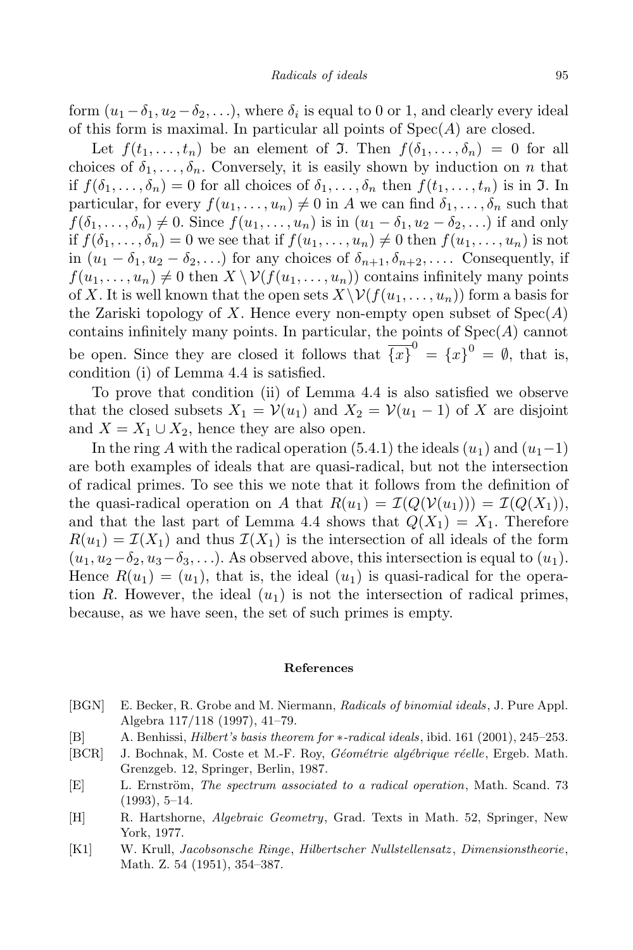form  $(u_1 - \delta_1, u_2 - \delta_2, \ldots)$ , where  $\delta_i$  is equal to 0 or 1, and clearly every ideal of this form is maximal. In particular all points of Spec(*A*) are closed.

Let  $f(t_1, \ldots, t_n)$  be an element of **J**. Then  $f(\delta_1, \ldots, \delta_n) = 0$  for all choices of  $\delta_1, \ldots, \delta_n$ . Conversely, it is easily shown by induction on *n* that if  $f(\delta_1,\ldots,\delta_n)=0$  for all choices of  $\delta_1,\ldots,\delta_n$  then  $f(t_1,\ldots,t_n)$  is in  $\mathfrak{I}$ . In particular, for every  $f(u_1, \ldots, u_n) \neq 0$  in *A* we can find  $\delta_1, \ldots, \delta_n$  such that  $f(\delta_1,\ldots,\delta_n) \neq 0$ . Since  $f(u_1,\ldots,u_n)$  is in  $(u_1-\delta_1,u_2-\delta_2,\ldots)$  if and only if  $f(\delta_1,\ldots,\delta_n)=0$  we see that if  $f(u_1,\ldots,u_n)\neq 0$  then  $f(u_1,\ldots,u_n)$  is not in  $(u_1 - \delta_1, u_2 - \delta_2, \ldots)$  for any choices of  $\delta_{n+1}, \delta_{n+2}, \ldots$  Consequently, if  $f(u_1,\ldots,u_n)\neq 0$  then  $X\setminus V(f(u_1,\ldots,u_n))$  contains infinitely many points of X. It is well known that the open sets  $X \setminus V(f(u_1, \ldots, u_n))$  form a basis for the Zariski topology of *X*. Hence every non-empty open subset of Spec(*A*) contains infinitely many points. In particular, the points of Spec(*A*) cannot be open. Since they are closed it follows that  $\overline{\{x\}}^0 = \{x\}^0 = \emptyset$ , that is, condition (i) of Lemma 4.4 is satisfied.

To prove that condition (ii) of Lemma 4.4 is also satisfied we observe that the closed subsets  $X_1 = V(u_1)$  and  $X_2 = V(u_1 - 1)$  of X are disjoint and  $X = X_1 \cup X_2$ , hence they are also open.

In the ring *A* with the radical operation (5.4.1) the ideals  $(u_1)$  and  $(u_1-1)$ are both examples of ideals that are quasi-radical, but not the intersection of radical primes. To see this we note that it follows from the definition of the quasi-radical operation on *A* that  $R(u_1) = I(Q(V(u_1))) = I(Q(X_1)),$ and that the last part of Lemma 4.4 shows that  $Q(X_1) = X_1$ . Therefore  $R(u_1) = I(X_1)$  and thus  $I(X_1)$  is the intersection of all ideals of the form  $(u_1, u_2-\delta_2, u_3-\delta_3, \ldots)$ . As observed above, this intersection is equal to  $(u_1)$ . Hence  $R(u_1) = (u_1)$ , that is, the ideal  $(u_1)$  is quasi-radical for the operation *R*. However, the ideal  $(u_1)$  is not the intersection of radical primes, because, as we have seen, the set of such primes is empty.

## **References**

- [BGN] E. Becker, R. Grobe and M. Niermann, *Radicals of binomial ideals*, J. Pure Appl. Algebra 117/118 (1997), 41–79.
- [B] A. Benhissi, *Hilbert's basis theorem for ∗-radical ideals*, ibid. 161 (2001), 245–253.
- [BCR] J. Bochnak, M. Coste et M.-F. Roy, *G´eom´etrie alg´ebrique r´eelle*, Ergeb. Math. Grenzgeb. 12, Springer, Berlin, 1987.
- [E] L. Ernström, *The spectrum associated to a radical operation*, Math. Scand. 73 (1993), 5–14.
- [H] R. Hartshorne, *Algebraic Geometry*, Grad. Texts in Math. 52, Springer, New York, 1977.
- [K1] W. Krull, *Jacobsonsche Ringe*, *Hilbertscher Nullstellensatz* , *Dimensionstheorie*, Math. Z. 54 (1951), 354–387.